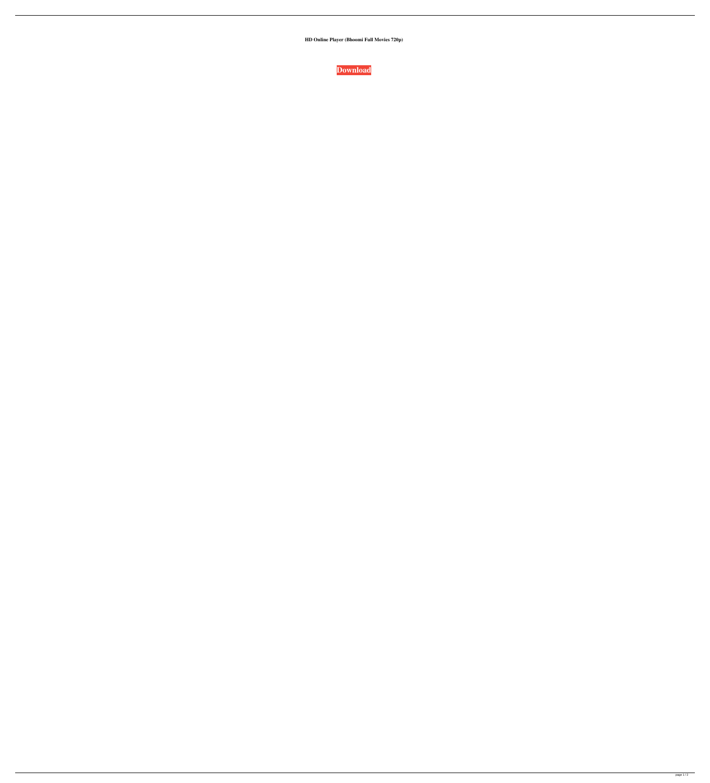**HD Online Player (Bhoomi Full Movies 720p)**